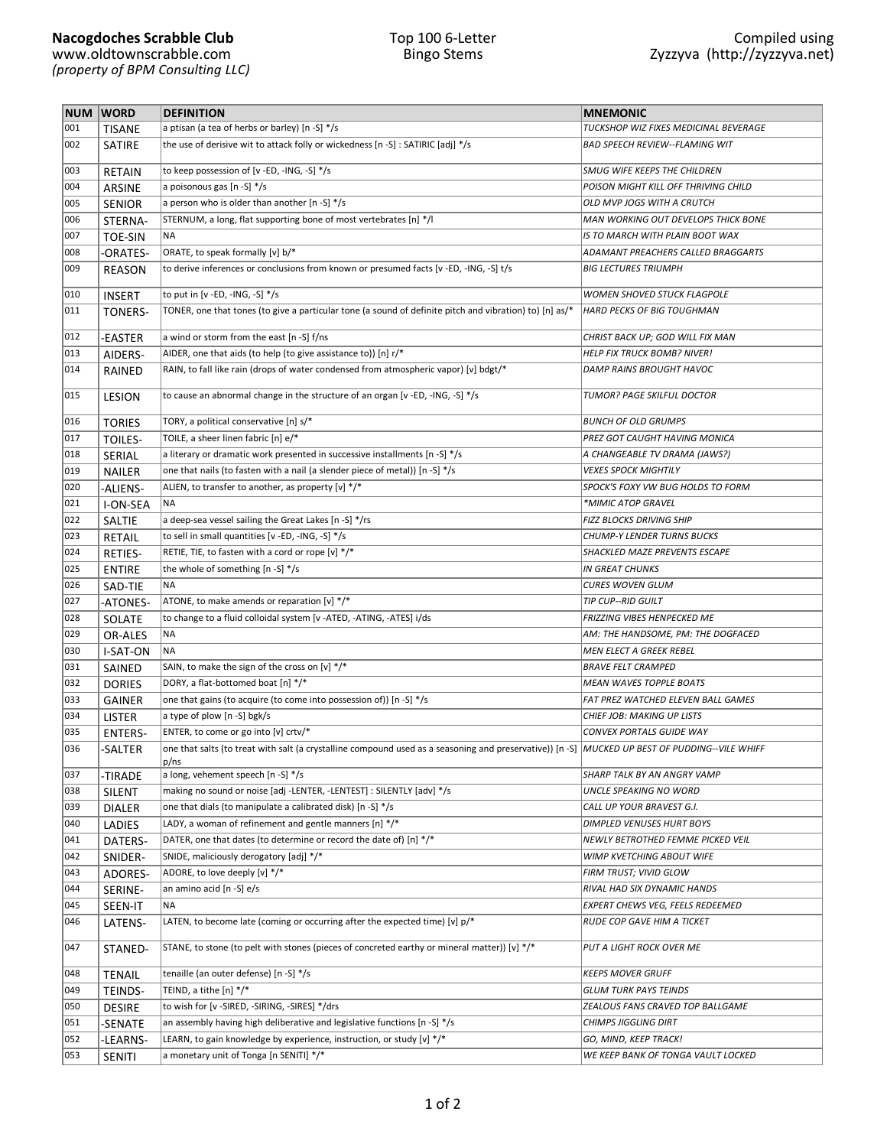|     | NUM WORD       | <b>DEFINITION</b>                                                                                                                                              | <b>MNEMONIC</b>                       |
|-----|----------------|----------------------------------------------------------------------------------------------------------------------------------------------------------------|---------------------------------------|
| 001 | <b>TISANE</b>  | a ptisan (a tea of herbs or barley) [n -S] */s                                                                                                                 | TUCKSHOP WIZ FIXES MEDICINAL BEVERAGE |
| 002 | SATIRE         | the use of derisive wit to attack folly or wickedness [n -S] : SATIRIC [adj] */s                                                                               | <b>BAD SPEECH REVIEW--FLAMING WIT</b> |
| 003 | RETAIN         | to keep possession of [v -ED, -ING, -S] */s                                                                                                                    | SMUG WIFE KEEPS THE CHILDREN          |
| 004 | <b>ARSINE</b>  | a poisonous gas [n -S] */s                                                                                                                                     | POISON MIGHT KILL OFF THRIVING CHILD  |
| 005 | <b>SENIOR</b>  | a person who is older than another $[n - S]$ */s                                                                                                               | OLD MVP JOGS WITH A CRUTCH            |
| 006 | STERNA-        | STERNUM, a long, flat supporting bone of most vertebrates [n] */l                                                                                              | MAN WORKING OUT DEVELOPS THICK BONE   |
| 007 | <b>TOE-SIN</b> | <b>NA</b>                                                                                                                                                      | IS TO MARCH WITH PLAIN BOOT WAX       |
| 008 |                | ORATE, to speak formally [v] b/*                                                                                                                               | ADAMANT PREACHERS CALLED BRAGGARTS    |
| 009 | -ORATES-       | to derive inferences or conclusions from known or presumed facts [v-ED,-ING,-S] t/s                                                                            | <b>BIG LECTURES TRIUMPH</b>           |
|     | <b>REASON</b>  |                                                                                                                                                                | <b>WOMEN SHOVED STUCK FLAGPOLE</b>    |
| 010 | <b>INSERT</b>  | to put in [v -ED, -ING, -S] $*/s$                                                                                                                              |                                       |
| 011 | TONERS-        | TONER, one that tones (to give a particular tone (a sound of definite pitch and vibration) to) [n] as/*                                                        | <b>HARD PECKS OF BIG TOUGHMAN</b>     |
| 012 | -EASTER        | a wind or storm from the east [n -S] f/ns                                                                                                                      | CHRIST BACK UP; GOD WILL FIX MAN      |
| 013 | AIDERS-        | AIDER, one that aids (to help (to give assistance to)) [n] r/*                                                                                                 | <b>HELP FIX TRUCK BOMB? NIVER!</b>    |
| 014 | RAINED         | RAIN, to fall like rain (drops of water condensed from atmospheric vapor) [v] bdgt/*                                                                           | DAMP RAINS BROUGHT HAVOC              |
| 015 | <b>LESION</b>  | to cause an abnormal change in the structure of an organ [v -ED, -ING, -S] */s                                                                                 | TUMOR? PAGE SKILFUL DOCTOR            |
| 016 | <b>TORIES</b>  | TORY, a political conservative [n] s/*                                                                                                                         | <b>BUNCH OF OLD GRUMPS</b>            |
| 017 | TOILES-        | TOILE, a sheer linen fabric [n] e/*                                                                                                                            | PREZ GOT CAUGHT HAVING MONICA         |
| 018 | SERIAL         | a literary or dramatic work presented in successive installments [n -S] */s                                                                                    | A CHANGEABLE TV DRAMA (JAWS?)         |
| 019 | <b>NAILER</b>  | one that nails (to fasten with a nail (a slender piece of metal)) [n -S] */s                                                                                   | <b>VEXES SPOCK MIGHTILY</b>           |
| 020 | -ALIENS-       | ALIEN, to transfer to another, as property [v] */*                                                                                                             | SPOCK'S FOXY VW BUG HOLDS TO FORM     |
| 021 | I-ON-SEA       | NA                                                                                                                                                             | *MIMIC ATOP GRAVEL                    |
| 022 | SALTIE         | a deep-sea vessel sailing the Great Lakes [n -S] */rs                                                                                                          | FIZZ BLOCKS DRIVING SHIP              |
| 023 | <b>RETAIL</b>  | to sell in small quantities [v -ED, -ING, -S] */s                                                                                                              | <b>CHUMP-Y LENDER TURNS BUCKS</b>     |
| 024 | <b>RETIES-</b> | RETIE, TIE, to fasten with a cord or rope [v] */*                                                                                                              | SHACKLED MAZE PREVENTS ESCAPE         |
| 025 | <b>ENTIRE</b>  | the whole of something [n -S] */s                                                                                                                              | <b>IN GREAT CHUNKS</b>                |
| 026 | SAD-TIE        | <b>NA</b>                                                                                                                                                      | <b>CURES WOVEN GLUM</b>               |
| 027 | -ATONES-       | ATONE, to make amends or reparation [v] */*                                                                                                                    | <b>TIP CUP--RID GUILT</b>             |
| 028 | SOLATE         | to change to a fluid colloidal system [v -ATED, -ATING, -ATES] i/ds                                                                                            | FRIZZING VIBES HENPECKED ME           |
| 029 | OR-ALES        | <b>NA</b>                                                                                                                                                      | AM: THE HANDSOME, PM: THE DOGFACED    |
| 030 | I-SAT-ON       | NA                                                                                                                                                             | MEN ELECT A GREEK REBEL               |
| 031 | SAINED         | SAIN, to make the sign of the cross on [v] */*                                                                                                                 | <b>BRAVE FELT CRAMPED</b>             |
| 032 | <b>DORIES</b>  | DORY, a flat-bottomed boat [n] */*                                                                                                                             | <b>MEAN WAVES TOPPLE BOATS</b>        |
| 033 | <b>GAINER</b>  | one that gains (to acquire (to come into possession of)) [n -S] */s                                                                                            | FAT PREZ WATCHED ELEVEN BALL GAMES    |
| 034 | <b>LISTER</b>  | a type of plow [n -S] bgk/s                                                                                                                                    | CHIEF JOB: MAKING UP LISTS            |
| 035 |                | ENTER, to come or go into [v] crtv/*                                                                                                                           | CONVEX PORTALS GUIDE WAY              |
| 036 | <b>ENTERS-</b> |                                                                                                                                                                |                                       |
|     | -SALTER        | $ $ one that salts (to treat with salt (a crystalline compound used as a seasoning and preservative)) [n -S] $ $ MUCKED UP BEST OF PUDDING--VILE WHIFF<br>p/ns |                                       |
| 037 | -TIRADE        | a long, vehement speech [n -S] */s                                                                                                                             | SHARP TALK BY AN ANGRY VAMP           |
| 038 | SILENT         | making no sound or noise [adj -LENTER, -LENTEST] : SILENTLY [adv] */s                                                                                          | UNCLE SPEAKING NO WORD                |
| 039 | <b>DIALER</b>  | one that dials (to manipulate a calibrated disk) [n -S] */s                                                                                                    | CALL UP YOUR BRAVEST G.I.             |
| 040 | LADIES         | LADY, a woman of refinement and gentle manners $[n]$ */*                                                                                                       | DIMPLED VENUSES HURT BOYS             |
| 041 | DATERS-        | DATER, one that dates (to determine or record the date of) [n] */*                                                                                             | NEWLY BETROTHED FEMME PICKED VEIL     |
| 042 | SNIDER-        | SNIDE, maliciously derogatory [adj] */*                                                                                                                        | WIMP KVETCHING ABOUT WIFE             |
| 043 | ADORES-        | ADORE, to love deeply [v] */*                                                                                                                                  | FIRM TRUST; VIVID GLOW                |
| 044 | SERINE-        | an amino acid [n -S] e/s                                                                                                                                       | RIVAL HAD SIX DYNAMIC HANDS           |
| 045 | SEEN-IT        | NA                                                                                                                                                             | EXPERT CHEWS VEG, FEELS REDEEMED      |
| 046 | LATENS-        | LATEN, to become late (coming or occurring after the expected time) [v] p/*                                                                                    | RUDE COP GAVE HIM A TICKET            |
| 047 | STANED-        | STANE, to stone (to pelt with stones (pieces of concreted earthy or mineral matter)) [v] $*/*$                                                                 | PUT A LIGHT ROCK OVER ME              |
| 048 | <b>TENAIL</b>  | tenaille (an outer defense) [n -S] */s                                                                                                                         | KEEPS MOVER GRUFF                     |
| 049 | TEINDS-        | TEIND, a tithe [n] */*                                                                                                                                         | GLUM TURK PAYS TEINDS                 |
| 050 | <b>DESIRE</b>  | to wish for [v -SIRED, -SIRING, -SIRES] */drs                                                                                                                  | ZEALOUS FANS CRAVED TOP BALLGAME      |
| 051 | -SENATE        | an assembly having high deliberative and legislative functions [n -S] */s                                                                                      | CHIMPS JIGGLING DIRT                  |
| 052 | -LEARNS-       | LEARN, to gain knowledge by experience, instruction, or study [v] */*                                                                                          | GO, MIND, KEEP TRACK!                 |
| 053 | SENITI         | a monetary unit of Tonga [n SENITI] */*                                                                                                                        | WE KEEP BANK OF TONGA VAULT LOCKED    |